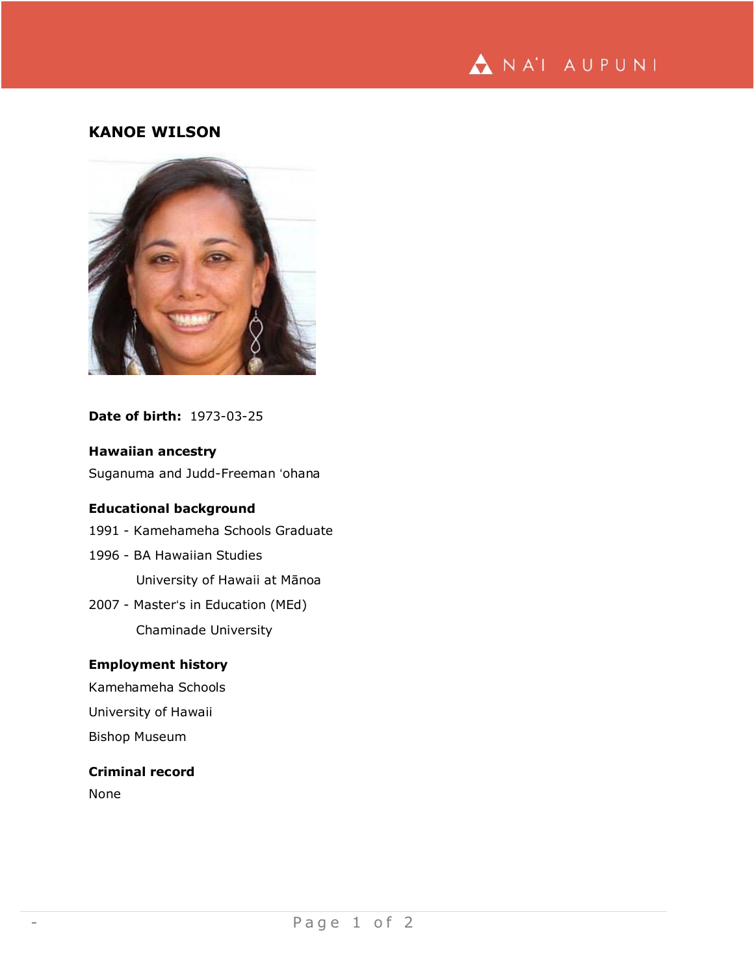

# **KANOE WILSON**



### **Date of birth:** 1973-03-25

# **Hawaiian ancestry**

Suganuma and Judd-Freeman ʻohana

# **Educational background**

- 1991 Kamehameha Schools Graduate
- 1996 BA Hawaiian Studies University of Hawaii at Mānoa
- 2007 Masterʻs in Education (MEd) Chaminade University

### **Employment history**

Kamehameha Schools University of Hawaii

Bishop Museum

### **Criminal record**

None